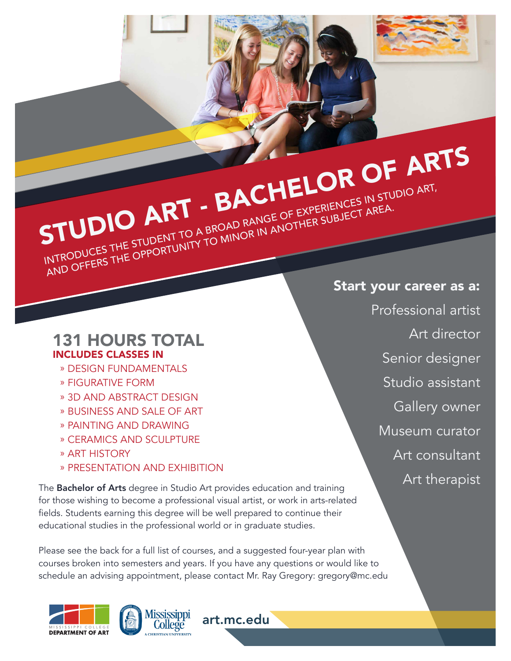

## INTRODUCES THE STUDENT TO A BROAD RANGE OF EXPERIENCES IN STUDIO ART, INTRODUCES THE STUDENT TO A BROAD RANGE OF EXPENIENCES IN STO.

#### 131 HOURS TOTAL INCLUDES CLASSES IN

- » DESIGN FUNDAMENTALS
- » FIGURATIVE FORM
- » 3D AND ABSTRACT DESIGN
- » BUSINESS AND SALE OF ART
- » PAINTING AND DRAWING
- » CERAMICS AND SCULPTURE
- » ART HISTORY
- » PRESENTATION AND EXHIBITION

The **Bachelor of Arts** degree in Studio Art provides education and training for those wishing to become a professional visual artist, or work in arts-related fields. Students earning this degree will be well prepared to continue their educational studies in the professional world or in graduate studies.

Please see the back for a full list of courses, and a suggested four-year plan with courses broken into semesters and years. If you have any questions or would like to schedule an advising appointment, please contact Mr. Ray Gregory: gregory@mc.edu

art.mc.edu





Start your career as a: Professional artist Art director Senior designer Studio assistant Gallery owner Museum curator Art consultant Art therapist